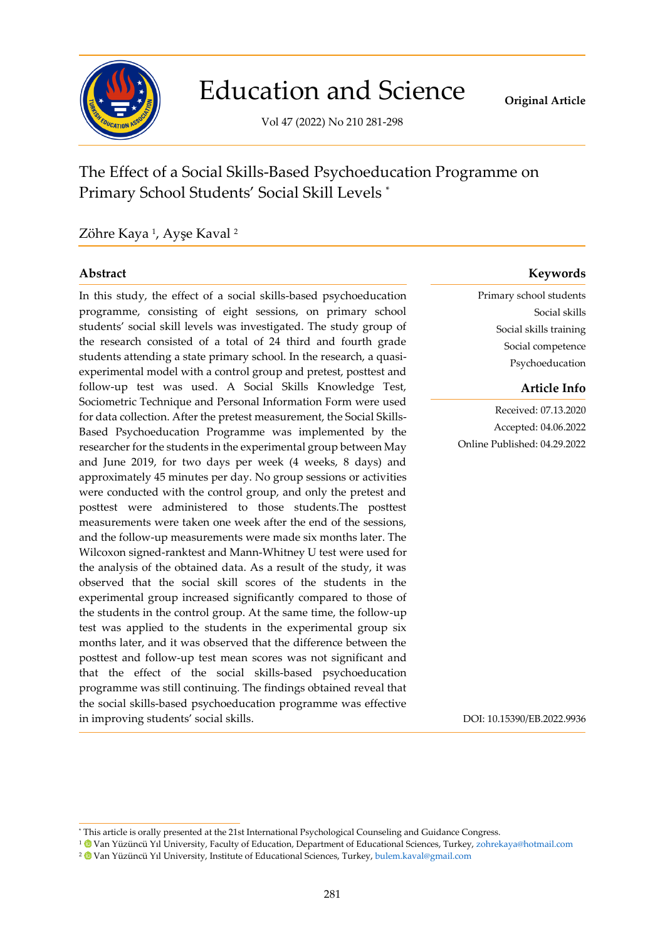

# Education and Science

Vol 47 (2022) No 210 281-298

## The Effect of a Social Skills-Based Psychoeducation Programme on Primary School Students' Social Skill Levels \*

### Zöhre Kaya <sup>1</sup>, Ayşe Kaval <sup>2</sup>

In this study, the effect of a social skills-based psychoeducation programme, consisting of eight sessions, on primary school students' social skill levels was investigated. The study group of the research consisted of a total of 24 third and fourth grade students attending a state primary school. In the research, a quasiexperimental model with a control group and pretest, posttest and follow-up test was used. A Social Skills Knowledge Test, Sociometric Technique and Personal Information Form were used for data collection. After the pretest measurement, the Social Skills-Based Psychoeducation Programme was implemented by the researcher for the students in the experimental group between May and June 2019, for two days per week (4 weeks, 8 days) and approximately 45 minutes per day. No group sessions or activities were conducted with the control group, and only the pretest and posttest were administered to those students.The posttest measurements were taken one week after the end of the sessions, and the follow-up measurements were made six months later. The Wilcoxon signed-ranktest and Mann-Whitney U test were used for the analysis of the obtained data. As a result of the study, it was observed that the social skill scores of the students in the experimental group increased significantly compared to those of the students in the control group. At the same time, the follow-up test was applied to the students in the experimental group six months later, and it was observed that the difference between the posttest and follow-up test mean scores was not significant and that the effect of the social skills-based psychoeducation programme was still continuing. The findings obtained reveal that the social skills-based psychoeducation programme was effective in improving students' social skills.

### **Abstract Keywords**

Primary school students Social skills Social skills training Social competence Psychoeducation

#### **Article Info**

Received: 07.13.2020 Accepted: 04.06.2022 Online Published: 04.29.2022

DOI: 10.15390/EB.2022.9936

<sup>\*</sup> This article is orally presented at the 21st International Psychological Counseling and Guidance Congress.

<sup>&</sup>lt;sup>1</sup> Van Yüzüncü Yıl University, Faculty of Education, Department of Educational Sciences, Turkey, [zohrekaya@hotmail.com](mailto:zohrekaya@hotmail.com)

<sup>&</sup>lt;sup>2</sup> Van Yüzüncü Yıl University, Institute of Educational Sciences, Turkey, [bulem.kaval@gmail.com](mailto:bulem.kaval@gmail.com)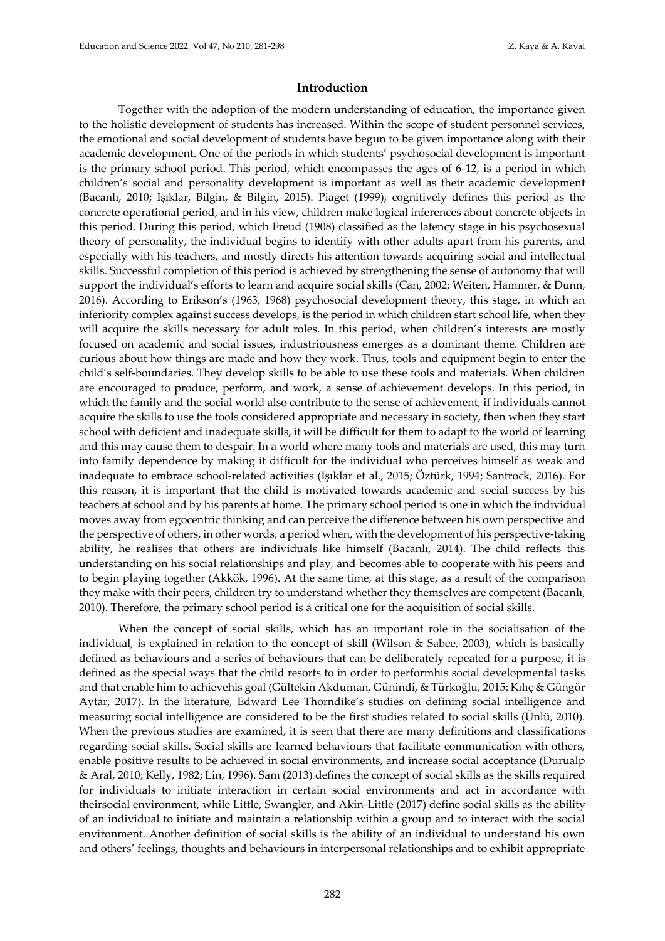#### **Introduction**

Together with the adoption of the modern understanding of education, the importance given to the holistic development of students has increased. Within the scope of student personnel services, the emotional and social development of students have begun to be given importance along with their academic development. One of the periods in which students' psychosocial development is important is the primary school period. This period, which encompasses the ages of 6-12, is a period in which children's social and personality development is important as well as their academic development (Bacanlı, 2010; Işıklar, Bilgin, & Bilgin, 2015). Piaget (1999), cognitively defines this period as the concrete operational period, and in his view, children make logical inferences about concrete objects in this period. During this period, which Freud (1908) classified as the latency stage in his psychosexual theory of personality, the individual begins to identify with other adults apart from his parents, and especially with his teachers, and mostly directs his attention towards acquiring social and intellectual skills. Successful completion of this period is achieved by strengthening the sense of autonomy that will support the individual's efforts to learn and acquire social skills (Can, 2002; Weiten, Hammer, & Dunn, 2016). According to Erikson's (1963, 1968) psychosocial development theory, this stage, in which an inferiority complex against success develops, is the period in which children start school life, when they will acquire the skills necessary for adult roles. In this period, when children's interests are mostly focused on academic and social issues, industriousness emerges as a dominant theme. Children are curious about how things are made and how they work. Thus, tools and equipment begin to enter the child's self-boundaries. They develop skills to be able to use these tools and materials. When children are encouraged to produce, perform, and work, a sense of achievement develops. In this period, in which the family and the social world also contribute to the sense of achievement, if individuals cannot acquire the skills to use the tools considered appropriate and necessary in society, then when they start school with deficient and inadequate skills, it will be difficult for them to adapt to the world of learning and this may cause them to despair. In a world where many tools and materials are used, this may turn into family dependence by making it difficult for the individual who perceives himself as weak and inadequate to embrace school-related activities (Işıklar et al., 2015; Öztürk, 1994; Santrock, 2016). For this reason, it is important that the child is motivated towards academic and social success by his teachers at school and by his parents at home. The primary school period is one in which the individual moves away from egocentric thinking and can perceive the difference between his own perspective and the perspective of others, in other words, a period when, with the development of his perspective-taking ability, he realises that others are individuals like himself (Bacanlı, 2014). The child reflects this understanding on his social relationships and play, and becomes able to cooperate with his peers and to begin playing together (Akkök, 1996). At the same time, at this stage, as a result of the comparison they make with their peers, children try to understand whether they themselves are competent (Bacanlı, 2010). Therefore, the primary school period is a critical one for the acquisition of social skills.

When the concept of social skills, which has an important role in the socialisation of the individual, is explained in relation to the concept of skill (Wilson & Sabee, 2003), which is basically defined as behaviours and a series of behaviours that can be deliberately repeated for a purpose, it is defined as the special ways that the child resorts to in order to performhis social developmental tasks and that enable him to achievehis goal (Gültekin Akduman, Günindi, & Türkoğlu, 2015; Kılıç & Güngör Aytar, 2017). In the literature, Edward Lee Thorndike's studies on defining social intelligence and measuring social intelligence are considered to be the first studies related to social skills (Ünlü, 2010). When the previous studies are examined, it is seen that there are many definitions and classifications regarding social skills. Social skills are learned behaviours that facilitate communication with others, enable positive results to be achieved in social environments, and increase social acceptance (Durualp & Aral, 2010; Kelly, 1982; Lin, 1996). Sam (2013) defines the concept of social skills as the skills required for individuals to initiate interaction in certain social environments and act in accordance with theirsocial environment, while Little, Swangler, and Akin-Little (2017) define social skills as the ability of an individual to initiate and maintain a relationship within a group and to interact with the social environment. Another definition of social skills is the ability of an individual to understand his own and others' feelings, thoughts and behaviours in interpersonal relationships and to exhibit appropriate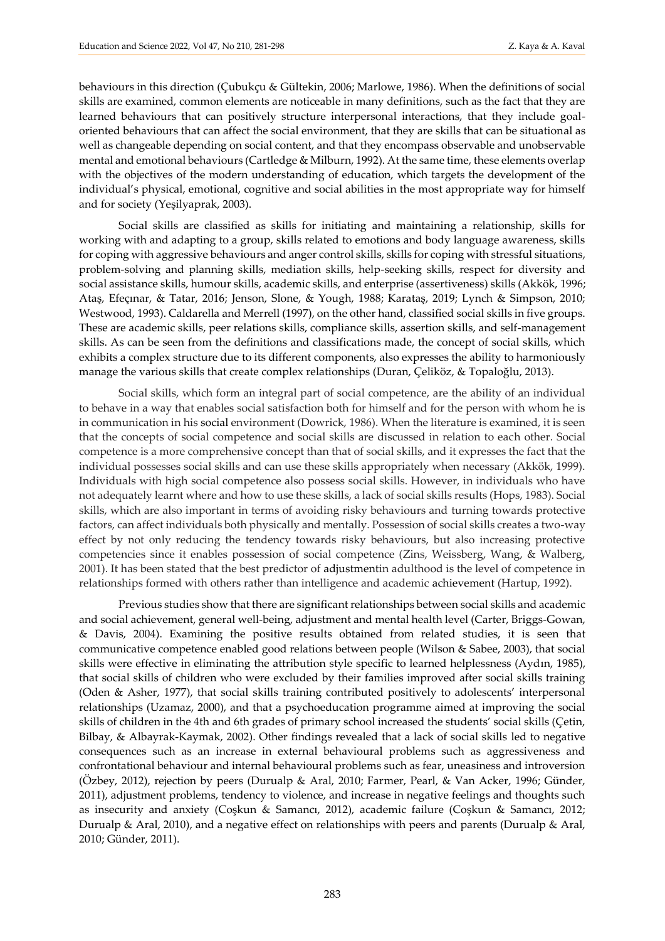behaviours in this direction (Çubukçu & Gültekin, 2006; Marlowe, 1986). When the definitions of social skills are examined, common elements are noticeable in many definitions, such as the fact that they are learned behaviours that can positively structure interpersonal interactions, that they include goaloriented behaviours that can affect the social environment, that they are skills that can be situational as well as changeable depending on social content, and that they encompass observable and unobservable mental and emotional behaviours (Cartledge & Milburn, 1992). At the same time, these elements overlap with the objectives of the modern understanding of education, which targets the development of the individual's physical, emotional, cognitive and social abilities in the most appropriate way for himself and for society (Yeşilyaprak, 2003).

Social skills are classified as skills for initiating and maintaining a relationship, skills for working with and adapting to a group, skills related to emotions and body language awareness, skills for coping with aggressive behaviours and anger control skills, skills for coping with stressful situations, problem-solving and planning skills, mediation skills, help-seeking skills, respect for diversity and social assistance skills, humour skills, academic skills, and enterprise (assertiveness) skills (Akkök, 1996; Ataş, Efeçınar, & Tatar, 2016; Jenson, Slone, & Yough, 1988; Karataş, 2019; Lynch & Simpson, 2010; Westwood, 1993). Caldarella and Merrell (1997), on the other hand, classified social skills in five groups. These are academic skills, peer relations skills, compliance skills, assertion skills, and self-management skills. As can be seen from the definitions and classifications made, the concept of social skills, which exhibits a complex structure due to its different components, also expresses the ability to harmoniously manage the various skills that create complex relationships (Duran, Çeliköz, & Topaloğlu, 2013).

Social skills, which form an integral part of social competence, are the ability of an individual to behave in a way that enables social satisfaction both for himself and for the person with whom he is in communication in his social environment (Dowrick, 1986). When the literature is examined, it is seen that the concepts of social competence and social skills are discussed in relation to each other. Social competence is a more comprehensive concept than that of social skills, and it expresses the fact that the individual possesses social skills and can use these skills appropriately when necessary (Akkök, 1999). Individuals with high social competence also possess social skills. However, in individuals who have not adequately learnt where and how to use these skills, a lack of social skills results (Hops, 1983). Social skills, which are also important in terms of avoiding risky behaviours and turning towards protective factors, can affect individuals both physically and mentally. Possession of social skills creates a two-way effect by not only reducing the tendency towards risky behaviours, but also increasing protective competencies since it enables possession of social competence (Zins, Weissberg, Wang, & Walberg, 2001). It has been stated that the best predictor of adjustmentin adulthood is the level of competence in relationships formed with others rather than intelligence and academic achievement (Hartup, 1992).

Previous studies show that there are significant relationships between social skills and academic and social achievement, general well-being, adjustment and mental health level (Carter, Briggs-Gowan, & Davis, 2004). Examining the positive results obtained from related studies, it is seen that communicative competence enabled good relations between people (Wilson & Sabee, 2003), that social skills were effective in eliminating the attribution style specific to learned helplessness (Aydın, 1985), that social skills of children who were excluded by their families improved after social skills training (Oden & Asher, 1977), that social skills training contributed positively to adolescents' interpersonal relationships (Uzamaz, 2000), and that a psychoeducation programme aimed at improving the social skills of children in the 4th and 6th grades of primary school increased the students' social skills (Çetin, Bilbay, & Albayrak-Kaymak, 2002). Other findings revealed that a lack of social skills led to negative consequences such as an increase in external behavioural problems such as aggressiveness and confrontational behaviour and internal behavioural problems such as fear, uneasiness and introversion (Özbey, 2012), rejection by peers (Durualp & Aral, 2010; Farmer, Pearl, & Van Acker, 1996; Günder, 2011), adjustment problems, tendency to violence, and increase in negative feelings and thoughts such as insecurity and anxiety (Coşkun & Samancı, 2012), academic failure (Coşkun & Samancı, 2012; Durualp & Aral, 2010), and a negative effect on relationships with peers and parents (Durualp & Aral, 2010; Günder, 2011).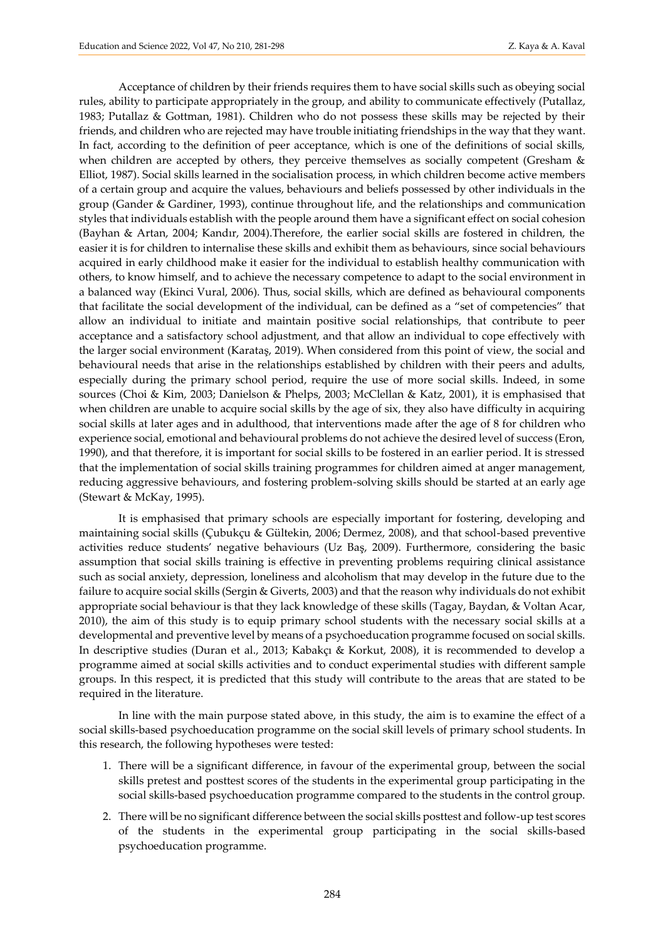Acceptance of children by their friends requires them to have social skills such as obeying social rules, ability to participate appropriately in the group, and ability to communicate effectively (Putallaz, 1983; Putallaz & Gottman, 1981). Children who do not possess these skills may be rejected by their friends, and children who are rejected may have trouble initiating friendships in the way that they want. In fact, according to the definition of peer acceptance, which is one of the definitions of social skills, when children are accepted by others, they perceive themselves as socially competent (Gresham & Elliot, 1987). Social skills learned in the socialisation process, in which children become active members of a certain group and acquire the values, behaviours and beliefs possessed by other individuals in the group (Gander & Gardiner, 1993), continue throughout life, and the relationships and communication styles that individuals establish with the people around them have a significant effect on social cohesion (Bayhan & Artan, 2004; Kandır, 2004).Therefore, the earlier social skills are fostered in children, the easier it is for children to internalise these skills and exhibit them as behaviours, since social behaviours acquired in early childhood make it easier for the individual to establish healthy communication with others, to know himself, and to achieve the necessary competence to adapt to the social environment in a balanced way (Ekinci Vural, 2006). Thus, social skills, which are defined as behavioural components that facilitate the social development of the individual, can be defined as a "set of competencies" that allow an individual to initiate and maintain positive social relationships, that contribute to peer acceptance and a satisfactory school adjustment, and that allow an individual to cope effectively with the larger social environment (Karataş, 2019). When considered from this point of view, the social and behavioural needs that arise in the relationships established by children with their peers and adults, especially during the primary school period, require the use of more social skills. Indeed, in some sources (Choi & Kim, 2003; Danielson & Phelps, 2003; McClellan & Katz, 2001), it is emphasised that when children are unable to acquire social skills by the age of six, they also have difficulty in acquiring social skills at later ages and in adulthood, that interventions made after the age of 8 for children who experience social, emotional and behavioural problems do not achieve the desired level of success (Eron, 1990), and that therefore, it is important for social skills to be fostered in an earlier period. It is stressed that the implementation of social skills training programmes for children aimed at anger management, reducing aggressive behaviours, and fostering problem-solving skills should be started at an early age (Stewart & McKay, 1995).

It is emphasised that primary schools are especially important for fostering, developing and maintaining social skills (Çubukçu & Gültekin, 2006; Dermez, 2008), and that school-based preventive activities reduce students' negative behaviours (Uz Baş, 2009). Furthermore, considering the basic assumption that social skills training is effective in preventing problems requiring clinical assistance such as social anxiety, depression, loneliness and alcoholism that may develop in the future due to the failure to acquire social skills (Sergin & Giverts, 2003) and that the reason why individuals do not exhibit appropriate social behaviour is that they lack knowledge of these skills (Tagay, Baydan, & Voltan Acar, 2010), the aim of this study is to equip primary school students with the necessary social skills at a developmental and preventive level by means of a psychoeducation programme focused on social skills. In descriptive studies (Duran et al., 2013; Kabakçı & Korkut, 2008), it is recommended to develop a programme aimed at social skills activities and to conduct experimental studies with different sample groups. In this respect, it is predicted that this study will contribute to the areas that are stated to be required in the literature.

In line with the main purpose stated above, in this study, the aim is to examine the effect of a social skills-based psychoeducation programme on the social skill levels of primary school students. In this research, the following hypotheses were tested:

- 1. There will be a significant difference, in favour of the experimental group, between the social skills pretest and posttest scores of the students in the experimental group participating in the social skills-based psychoeducation programme compared to the students in the control group.
- 2. There will be no significant difference between the social skills posttest and follow-up test scores of the students in the experimental group participating in the social skills-based psychoeducation programme.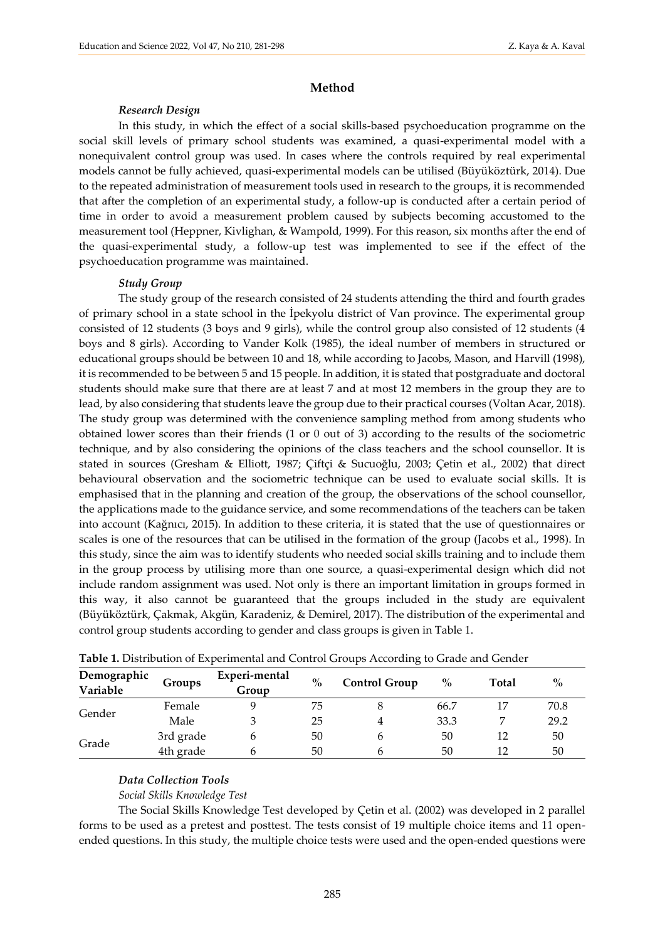#### **Method**

#### *Research Design*

In this study, in which the effect of a social skills-based psychoeducation programme on the social skill levels of primary school students was examined, a quasi-experimental model with a nonequivalent control group was used. In cases where the controls required by real experimental models cannot be fully achieved, quasi-experimental models can be utilised (Büyüköztürk, 2014). Due to the repeated administration of measurement tools used in research to the groups, it is recommended that after the completion of an experimental study, a follow-up is conducted after a certain period of time in order to avoid a measurement problem caused by subjects becoming accustomed to the measurement tool (Heppner, Kivlighan, & Wampold, 1999). For this reason, six months after the end of the quasi-experimental study, a follow-up test was implemented to see if the effect of the psychoeducation programme was maintained.

#### *Study Group*

The study group of the research consisted of 24 students attending the third and fourth grades of primary school in a state school in the İpekyolu district of Van province. The experimental group consisted of 12 students (3 boys and 9 girls), while the control group also consisted of 12 students (4 boys and 8 girls). According to Vander Kolk (1985), the ideal number of members in structured or educational groups should be between 10 and 18, while according to Jacobs, Mason, and Harvill (1998), it is recommended to be between 5 and 15 people. In addition, it is stated that postgraduate and doctoral students should make sure that there are at least 7 and at most 12 members in the group they are to lead, by also considering that students leave the group due to their practical courses (Voltan Acar, 2018). The study group was determined with the convenience sampling method from among students who obtained lower scores than their friends (1 or 0 out of 3) according to the results of the sociometric technique, and by also considering the opinions of the class teachers and the school counsellor. It is stated in sources (Gresham & Elliott, 1987; Çiftçi & Sucuoğlu, 2003; Çetin et al., 2002) that direct behavioural observation and the sociometric technique can be used to evaluate social skills. It is emphasised that in the planning and creation of the group, the observations of the school counsellor, the applications made to the guidance service, and some recommendations of the teachers can be taken into account (Kağnıcı, 2015). In addition to these criteria, it is stated that the use of questionnaires or scales is one of the resources that can be utilised in the formation of the group (Jacobs et al., 1998). In this study, since the aim was to identify students who needed social skills training and to include them in the group process by utilising more than one source, a quasi-experimental design which did not include random assignment was used. Not only is there an important limitation in groups formed in this way, it also cannot be guaranteed that the groups included in the study are equivalent (Büyüköztürk, Çakmak, Akgün, Karadeniz, & Demirel, 2017). The distribution of the experimental and control group students according to gender and class groups is given in Table 1.

| Demographic<br>Variable | Groups    | Experi-mental<br>Group | $\%$ | <b>Control Group</b> | $\%$ | Total | $\%$ |
|-------------------------|-----------|------------------------|------|----------------------|------|-------|------|
| Gender                  | Female    |                        | 75   |                      | 66.7 |       | 70.8 |
|                         | Male      |                        | 25   |                      | 33.3 |       | 29.2 |
| Grade                   | 3rd grade |                        | 50   | n                    | 50   | 12    | 50   |
|                         | 4th grade |                        | 50   | n                    | 50   | 12    | 50   |

**Table 1.** Distribution of Experimental and Control Groups According to Grade and Gender

#### *Data Collection Tools*

*Social Skills Knowledge Test* 

The Social Skills Knowledge Test developed by Çetin et al. (2002) was developed in 2 parallel forms to be used as a pretest and posttest. The tests consist of 19 multiple choice items and 11 openended questions. In this study, the multiple choice tests were used and the open-ended questions were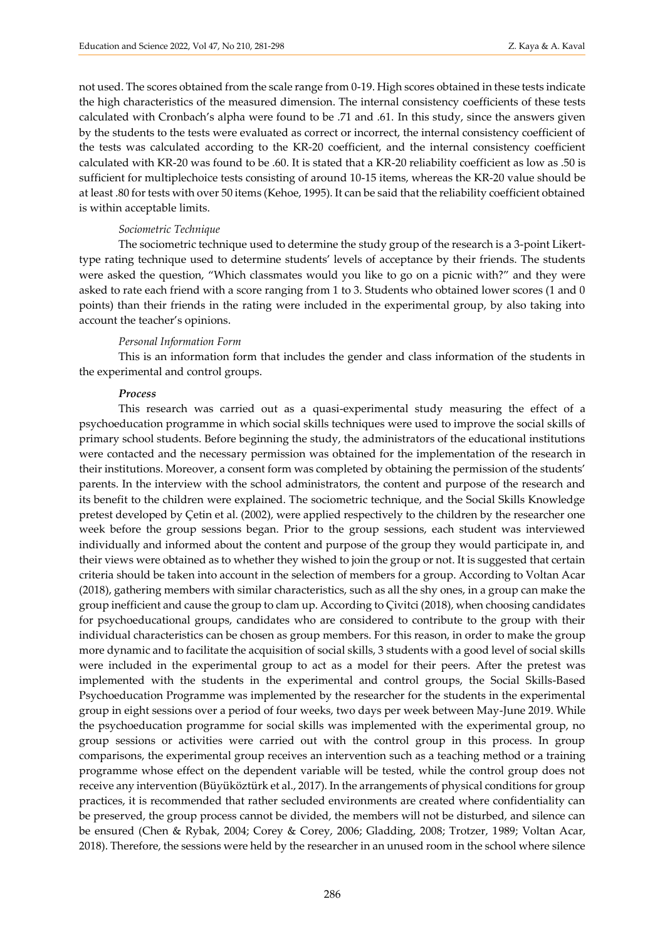not used. The scores obtained from the scale range from 0-19. High scores obtained in these tests indicate the high characteristics of the measured dimension. The internal consistency coefficients of these tests calculated with Cronbach's alpha were found to be .71 and .61. In this study, since the answers given by the students to the tests were evaluated as correct or incorrect, the internal consistency coefficient of the tests was calculated according to the KR-20 coefficient, and the internal consistency coefficient calculated with KR-20 was found to be .60. It is stated that a KR-20 reliability coefficient as low as .50 is sufficient for multiplechoice tests consisting of around 10-15 items, whereas the KR-20 value should be at least .80 for tests with over 50 items (Kehoe, 1995). It can be said that the reliability coefficient obtained is within acceptable limits.

#### *Sociometric Technique*

The sociometric technique used to determine the study group of the research is a 3-point Likerttype rating technique used to determine students' levels of acceptance by their friends. The students were asked the question, "Which classmates would you like to go on a picnic with?" and they were asked to rate each friend with a score ranging from 1 to 3. Students who obtained lower scores (1 and 0 points) than their friends in the rating were included in the experimental group, by also taking into account the teacher's opinions.

#### *Personal Information Form*

This is an information form that includes the gender and class information of the students in the experimental and control groups.

#### *Process*

This research was carried out as a quasi-experimental study measuring the effect of a psychoeducation programme in which social skills techniques were used to improve the social skills of primary school students. Before beginning the study, the administrators of the educational institutions were contacted and the necessary permission was obtained for the implementation of the research in their institutions. Moreover, a consent form was completed by obtaining the permission of the students' parents. In the interview with the school administrators, the content and purpose of the research and its benefit to the children were explained. The sociometric technique, and the Social Skills Knowledge pretest developed by Çetin et al. (2002), were applied respectively to the children by the researcher one week before the group sessions began. Prior to the group sessions, each student was interviewed individually and informed about the content and purpose of the group they would participate in, and their views were obtained as to whether they wished to join the group or not. It is suggested that certain criteria should be taken into account in the selection of members for a group. According to Voltan Acar (2018), gathering members with similar characteristics, such as all the shy ones, in a group can make the group inefficient and cause the group to clam up. According to Çivitci (2018), when choosing candidates for psychoeducational groups, candidates who are considered to contribute to the group with their individual characteristics can be chosen as group members. For this reason, in order to make the group more dynamic and to facilitate the acquisition of social skills, 3 students with a good level of social skills were included in the experimental group to act as a model for their peers. After the pretest was implemented with the students in the experimental and control groups, the Social Skills-Based Psychoeducation Programme was implemented by the researcher for the students in the experimental group in eight sessions over a period of four weeks, two days per week between May-June 2019. While the psychoeducation programme for social skills was implemented with the experimental group, no group sessions or activities were carried out with the control group in this process. In group comparisons, the experimental group receives an intervention such as a teaching method or a training programme whose effect on the dependent variable will be tested, while the control group does not receive any intervention (Büyüköztürk et al., 2017). In the arrangements of physical conditions for group practices, it is recommended that rather secluded environments are created where confidentiality can be preserved, the group process cannot be divided, the members will not be disturbed, and silence can be ensured (Chen & Rybak, 2004; Corey & Corey, 2006; Gladding, 2008; Trotzer, 1989; Voltan Acar, 2018). Therefore, the sessions were held by the researcher in an unused room in the school where silence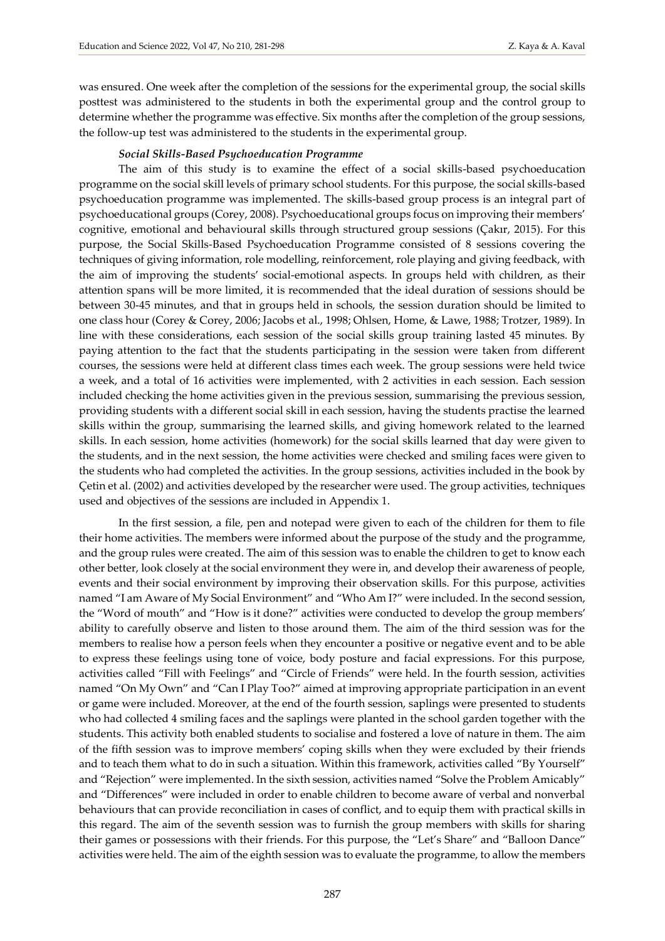was ensured. One week after the completion of the sessions for the experimental group, the social skills posttest was administered to the students in both the experimental group and the control group to determine whether the programme was effective. Six months after the completion of the group sessions, the follow-up test was administered to the students in the experimental group.

#### *Social Skills-Based Psychoeducation Programme*

The aim of this study is to examine the effect of a social skills-based psychoeducation programme on the social skill levels of primary school students. For this purpose, the social skills-based psychoeducation programme was implemented. The skills-based group process is an integral part of psychoeducational groups (Corey, 2008). Psychoeducational groups focus on improving their members' cognitive, emotional and behavioural skills through structured group sessions (Çakır, 2015). For this purpose, the Social Skills-Based Psychoeducation Programme consisted of 8 sessions covering the techniques of giving information, role modelling, reinforcement, role playing and giving feedback, with the aim of improving the students' social-emotional aspects. In groups held with children, as their attention spans will be more limited, it is recommended that the ideal duration of sessions should be between 30-45 minutes, and that in groups held in schools, the session duration should be limited to one class hour (Corey & Corey, 2006; Jacobs et al., 1998; Ohlsen, Home, & Lawe, 1988; Trotzer, 1989). In line with these considerations, each session of the social skills group training lasted 45 minutes. By paying attention to the fact that the students participating in the session were taken from different courses, the sessions were held at different class times each week. The group sessions were held twice a week, and a total of 16 activities were implemented, with 2 activities in each session. Each session included checking the home activities given in the previous session, summarising the previous session, providing students with a different social skill in each session, having the students practise the learned skills within the group, summarising the learned skills, and giving homework related to the learned skills. In each session, home activities (homework) for the social skills learned that day were given to the students, and in the next session, the home activities were checked and smiling faces were given to the students who had completed the activities. In the group sessions, activities included in the book by Çetin et al. (2002) and activities developed by the researcher were used. The group activities, techniques used and objectives of the sessions are included in Appendix 1.

In the first session, a file, pen and notepad were given to each of the children for them to file their home activities. The members were informed about the purpose of the study and the programme, and the group rules were created. The aim of this session was to enable the children to get to know each other better, look closely at the social environment they were in, and develop their awareness of people, events and their social environment by improving their observation skills. For this purpose, activities named "I am Aware of My Social Environment" and "Who Am I?" were included. In the second session, the "Word of mouth" and "How is it done?" activities were conducted to develop the group members' ability to carefully observe and listen to those around them. The aim of the third session was for the members to realise how a person feels when they encounter a positive or negative event and to be able to express these feelings using tone of voice, body posture and facial expressions. For this purpose, activities called "Fill with Feelings" and "Circle of Friends" were held. In the fourth session, activities named "On My Own" and "Can I Play Too?" aimed at improving appropriate participation in an event or game were included. Moreover, at the end of the fourth session, saplings were presented to students who had collected 4 smiling faces and the saplings were planted in the school garden together with the students. This activity both enabled students to socialise and fostered a love of nature in them. The aim of the fifth session was to improve members' coping skills when they were excluded by their friends and to teach them what to do in such a situation. Within this framework, activities called "By Yourself" and "Rejection" were implemented. In the sixth session, activities named "Solve the Problem Amicably" and "Differences" were included in order to enable children to become aware of verbal and nonverbal behaviours that can provide reconciliation in cases of conflict, and to equip them with practical skills in this regard. The aim of the seventh session was to furnish the group members with skills for sharing their games or possessions with their friends. For this purpose, the "Let's Share" and "Balloon Dance" activities were held. The aim of the eighth session was to evaluate the programme, to allow the members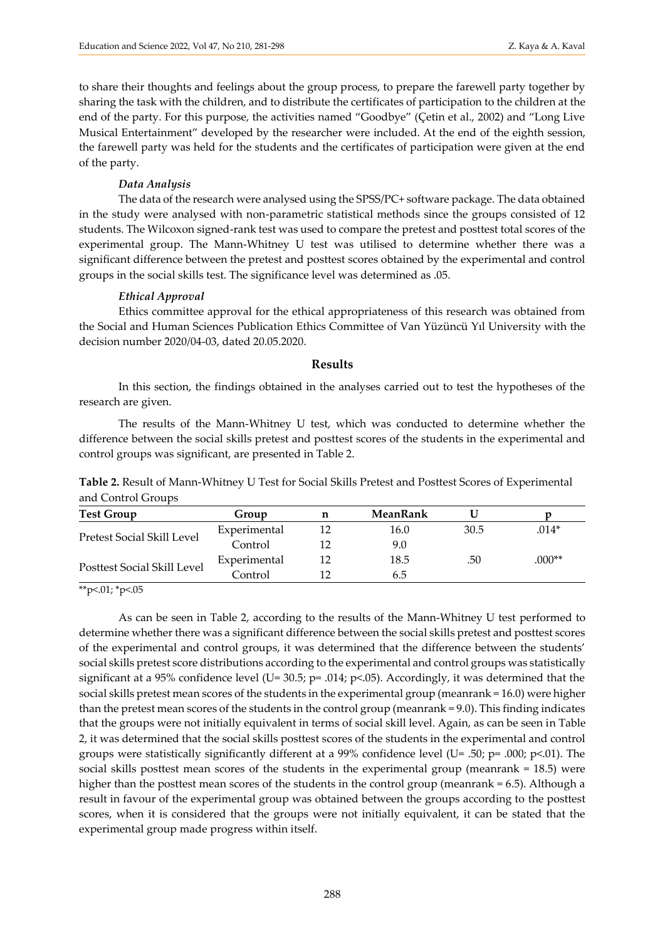to share their thoughts and feelings about the group process, to prepare the farewell party together by sharing the task with the children, and to distribute the certificates of participation to the children at the end of the party. For this purpose, the activities named "Goodbye" (Çetin et al., 2002) and "Long Live Musical Entertainment" developed by the researcher were included. At the end of the eighth session, the farewell party was held for the students and the certificates of participation were given at the end of the party.

#### *Data Analysis*

The data of the research were analysed using the SPSS/PC+ software package. The data obtained in the study were analysed with non-parametric statistical methods since the groups consisted of 12 students. The Wilcoxon signed-rank test was used to compare the pretest and posttest total scores of the experimental group. The Mann-Whitney U test was utilised to determine whether there was a significant difference between the pretest and posttest scores obtained by the experimental and control groups in the social skills test. The significance level was determined as .05.

#### *Ethical Approval*

Ethics committee approval for the ethical appropriateness of this research was obtained from the Social and Human Sciences Publication Ethics Committee of Van Yüzüncü Yıl University with the decision number 2020/04-03, dated 20.05.2020.

#### **Results**

In this section, the findings obtained in the analyses carried out to test the hypotheses of the research are given.

The results of the Mann-Whitney U test, which was conducted to determine whether the difference between the social skills pretest and posttest scores of the students in the experimental and control groups was significant, are presented in Table 2.

**Table 2.** Result of Mann-Whitney U Test for Social Skills Pretest and Posttest Scores of Experimental and Control Groups

| <b>Test Group</b>           | Group        | n  | MeanRank |                  |          |
|-----------------------------|--------------|----|----------|------------------|----------|
|                             | Experimental | 12 | 16.0     | 30.5             | $.014*$  |
| Pretest Social Skill Level  | Control      | 12 | 9.0      |                  |          |
|                             | Experimental | 12 | 18.5     | .50 <sub>°</sub> | $.000**$ |
| Posttest Social Skill Level | Control      | 12 | 6.5      |                  |          |

\*\*p<.01; \*p<.05

As can be seen in Table 2, according to the results of the Mann-Whitney U test performed to determine whether there was a significant difference between the social skills pretest and posttest scores of the experimental and control groups, it was determined that the difference between the students' social skills pretest score distributions according to the experimental and control groups was statistically significant at a 95% confidence level (U= 30.5; p= .014; p<.05). Accordingly, it was determined that the social skills pretest mean scores of the students in the experimental group (meanrank = 16.0) were higher than the pretest mean scores of the students in the control group (meanrank = 9.0). This finding indicates that the groups were not initially equivalent in terms of social skill level. Again, as can be seen in Table 2, it was determined that the social skills posttest scores of the students in the experimental and control groups were statistically significantly different at a 99% confidence level (U= .50;  $p=$  .000;  $p<$ .01). The social skills posttest mean scores of the students in the experimental group (meanrank = 18.5) were higher than the posttest mean scores of the students in the control group (meanrank = 6.5). Although a result in favour of the experimental group was obtained between the groups according to the posttest scores, when it is considered that the groups were not initially equivalent, it can be stated that the experimental group made progress within itself.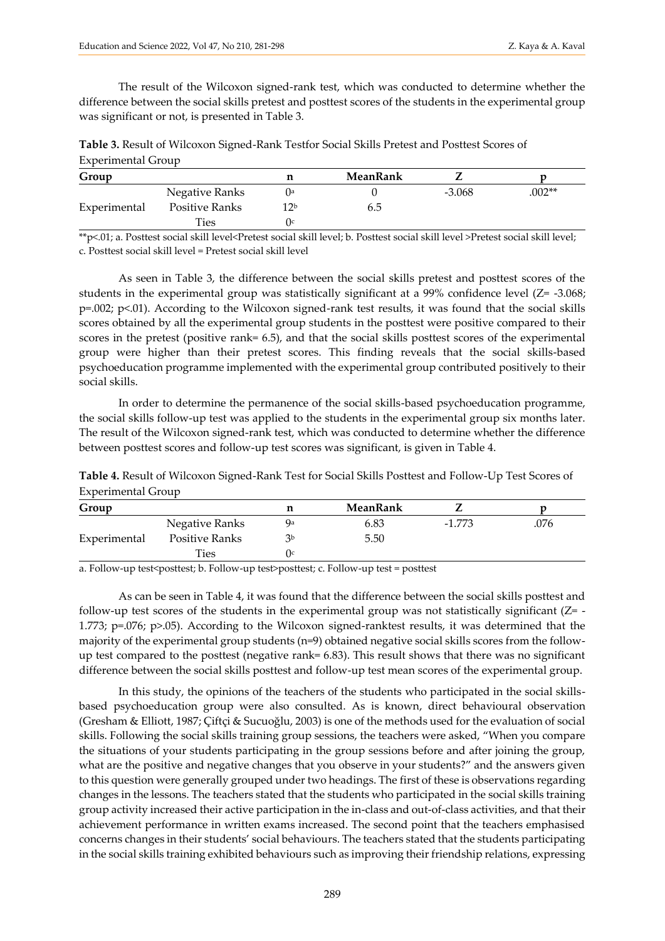The result of the Wilcoxon signed-rank test, which was conducted to determine whether the difference between the social skills pretest and posttest scores of the students in the experimental group was significant or not, is presented in Table 3.

| Table 3. Result of Wilcoxon Signed-Rank Testfor Social Skills Pretest and Posttest Scores of |  |
|----------------------------------------------------------------------------------------------|--|
| <b>Experimental Group</b>                                                                    |  |

| Group        |                | п     | MeanRank |          |          |
|--------------|----------------|-------|----------|----------|----------|
|              | Negative Ranks | l Ia  |          | $-3.068$ | $.002**$ |
| Experimental | Positive Ranks | 1 7 b | 6.5      |          |          |
|              | <b>Ties</b>    | 1 I C |          |          |          |

\*\*p<.01; a. Posttest social skill level<Pretest social skill level; b. Posttest social skill level >Pretest social skill level; c. Posttest social skill level = Pretest social skill level

As seen in Table 3, the difference between the social skills pretest and posttest scores of the students in the experimental group was statistically significant at a 99% confidence level (Z= -3.068; p=.002; p<.01). According to the Wilcoxon signed-rank test results, it was found that the social skills scores obtained by all the experimental group students in the posttest were positive compared to their scores in the pretest (positive rank= 6.5), and that the social skills posttest scores of the experimental group were higher than their pretest scores. This finding reveals that the social skills-based psychoeducation programme implemented with the experimental group contributed positively to their social skills.

In order to determine the permanence of the social skills-based psychoeducation programme, the social skills follow-up test was applied to the students in the experimental group six months later. The result of the Wilcoxon signed-rank test, which was conducted to determine whether the difference between posttest scores and follow-up test scores was significant, is given in Table 4.

| Table 4. Result of Wilcoxon Signed-Rank Test for Social Skills Posttest and Follow-Up Test Scores of |  |
|------------------------------------------------------------------------------------------------------|--|
| <b>Experimental Group</b>                                                                            |  |

| Group        |                | n  | MeanRank |          |      |
|--------------|----------------|----|----------|----------|------|
|              | Negative Ranks | Qa | 6.83     | $-1.773$ | .076 |
| Experimental | Positive Ranks | ٦b | 5.50     |          |      |
|              | Ties           |    |          |          |      |

a. Follow-up test<posttest; b. Follow-up test>posttest; c. Follow-up test = posttest

As can be seen in Table 4, it was found that the difference between the social skills posttest and follow-up test scores of the students in the experimental group was not statistically significant  $(Z = -1)$ 1.773; p=.076; p>.05). According to the Wilcoxon signed-ranktest results, it was determined that the majority of the experimental group students (n=9) obtained negative social skills scores from the followup test compared to the posttest (negative rank= 6.83). This result shows that there was no significant difference between the social skills posttest and follow-up test mean scores of the experimental group.

In this study, the opinions of the teachers of the students who participated in the social skillsbased psychoeducation group were also consulted. As is known, direct behavioural observation (Gresham & Elliott, 1987; Çiftçi & Sucuoğlu, 2003) is one of the methods used for the evaluation of social skills. Following the social skills training group sessions, the teachers were asked, "When you compare the situations of your students participating in the group sessions before and after joining the group, what are the positive and negative changes that you observe in your students?" and the answers given to this question were generally grouped under two headings. The first of these is observations regarding changes in the lessons. The teachers stated that the students who participated in the social skills training group activity increased their active participation in the in-class and out-of-class activities, and that their achievement performance in written exams increased. The second point that the teachers emphasised concerns changes in their students' social behaviours. The teachers stated that the students participating in the social skills training exhibited behaviours such as improving their friendship relations, expressing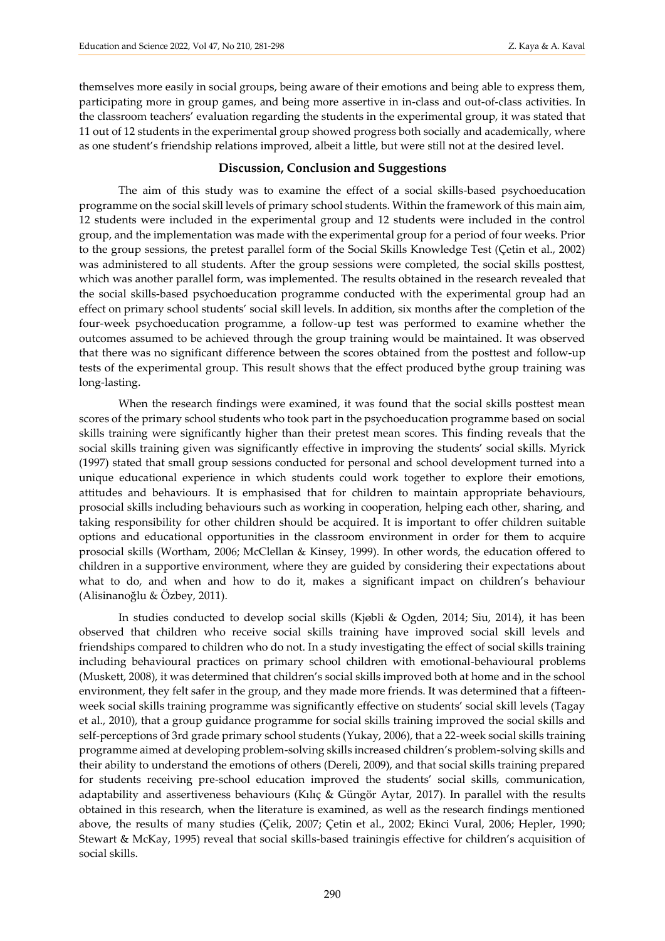themselves more easily in social groups, being aware of their emotions and being able to express them, participating more in group games, and being more assertive in in-class and out-of-class activities. In the classroom teachers' evaluation regarding the students in the experimental group, it was stated that 11 out of 12 students in the experimental group showed progress both socially and academically, where as one student's friendship relations improved, albeit a little, but were still not at the desired level.

#### **Discussion, Conclusion and Suggestions**

The aim of this study was to examine the effect of a social skills-based psychoeducation programme on the social skill levels of primary school students. Within the framework of this main aim, 12 students were included in the experimental group and 12 students were included in the control group, and the implementation was made with the experimental group for a period of four weeks. Prior to the group sessions, the pretest parallel form of the Social Skills Knowledge Test (Çetin et al., 2002) was administered to all students. After the group sessions were completed, the social skills posttest, which was another parallel form, was implemented. The results obtained in the research revealed that the social skills-based psychoeducation programme conducted with the experimental group had an effect on primary school students' social skill levels. In addition, six months after the completion of the four-week psychoeducation programme, a follow-up test was performed to examine whether the outcomes assumed to be achieved through the group training would be maintained. It was observed that there was no significant difference between the scores obtained from the posttest and follow-up tests of the experimental group. This result shows that the effect produced bythe group training was long-lasting.

When the research findings were examined, it was found that the social skills posttest mean scores of the primary school students who took part in the psychoeducation programme based on social skills training were significantly higher than their pretest mean scores. This finding reveals that the social skills training given was significantly effective in improving the students' social skills. Myrick (1997) stated that small group sessions conducted for personal and school development turned into a unique educational experience in which students could work together to explore their emotions, attitudes and behaviours. It is emphasised that for children to maintain appropriate behaviours, prosocial skills including behaviours such as working in cooperation, helping each other, sharing, and taking responsibility for other children should be acquired. It is important to offer children suitable options and educational opportunities in the classroom environment in order for them to acquire prosocial skills (Wortham, 2006; McClellan & Kinsey, 1999). In other words, the education offered to children in a supportive environment, where they are guided by considering their expectations about what to do, and when and how to do it, makes a significant impact on children's behaviour (Alisinanoğlu & Özbey, 2011).

In studies conducted to develop social skills (Kjøbli & Ogden, 2014; Siu, 2014), it has been observed that children who receive social skills training have improved social skill levels and friendships compared to children who do not. In a study investigating the effect of social skills training including behavioural practices on primary school children with emotional-behavioural problems (Muskett, 2008), it was determined that children's social skills improved both at home and in the school environment, they felt safer in the group, and they made more friends. It was determined that a fifteenweek social skills training programme was significantly effective on students' social skill levels (Tagay et al., 2010), that a group guidance programme for social skills training improved the social skills and self-perceptions of 3rd grade primary school students (Yukay, 2006), that a 22-week social skills training programme aimed at developing problem-solving skills increased children's problem-solving skills and their ability to understand the emotions of others (Dereli, 2009), and that social skills training prepared for students receiving pre-school education improved the students' social skills, communication, adaptability and assertiveness behaviours (Kılıç & Güngör Aytar, 2017). In parallel with the results obtained in this research, when the literature is examined, as well as the research findings mentioned above, the results of many studies (Çelik, 2007; Çetin et al., 2002; Ekinci Vural, 2006; Hepler, 1990; Stewart & McKay, 1995) reveal that social skills-based trainingis effective for children's acquisition of social skills.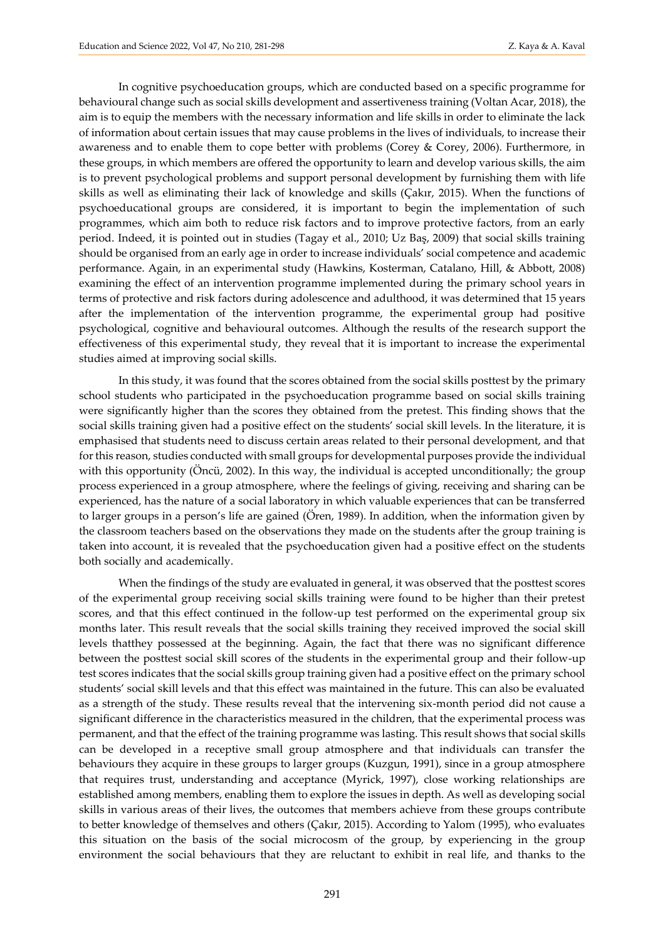In cognitive psychoeducation groups, which are conducted based on a specific programme for behavioural change such as social skills development and assertiveness training (Voltan Acar, 2018), the aim is to equip the members with the necessary information and life skills in order to eliminate the lack of information about certain issues that may cause problems in the lives of individuals, to increase their awareness and to enable them to cope better with problems (Corey & Corey, 2006). Furthermore, in these groups, in which members are offered the opportunity to learn and develop various skills, the aim is to prevent psychological problems and support personal development by furnishing them with life skills as well as eliminating their lack of knowledge and skills (Çakır, 2015). When the functions of psychoeducational groups are considered, it is important to begin the implementation of such programmes, which aim both to reduce risk factors and to improve protective factors, from an early period. Indeed, it is pointed out in studies (Tagay et al., 2010; Uz Baş, 2009) that social skills training should be organised from an early age in order to increase individuals' social competence and academic performance. Again, in an experimental study (Hawkins, Kosterman, Catalano, Hill, & Abbott, 2008) examining the effect of an intervention programme implemented during the primary school years in terms of protective and risk factors during adolescence and adulthood, it was determined that 15 years after the implementation of the intervention programme, the experimental group had positive psychological, cognitive and behavioural outcomes. Although the results of the research support the effectiveness of this experimental study, they reveal that it is important to increase the experimental studies aimed at improving social skills.

In this study, it was found that the scores obtained from the social skills posttest by the primary school students who participated in the psychoeducation programme based on social skills training were significantly higher than the scores they obtained from the pretest. This finding shows that the social skills training given had a positive effect on the students' social skill levels. In the literature, it is emphasised that students need to discuss certain areas related to their personal development, and that for this reason, studies conducted with small groups for developmental purposes provide the individual with this opportunity (Öncü, 2002). In this way, the individual is accepted unconditionally; the group process experienced in a group atmosphere, where the feelings of giving, receiving and sharing can be experienced, has the nature of a social laboratory in which valuable experiences that can be transferred to larger groups in a person's life are gained (Ören, 1989). In addition, when the information given by the classroom teachers based on the observations they made on the students after the group training is taken into account, it is revealed that the psychoeducation given had a positive effect on the students both socially and academically.

When the findings of the study are evaluated in general, it was observed that the posttest scores of the experimental group receiving social skills training were found to be higher than their pretest scores, and that this effect continued in the follow-up test performed on the experimental group six months later. This result reveals that the social skills training they received improved the social skill levels thatthey possessed at the beginning. Again, the fact that there was no significant difference between the posttest social skill scores of the students in the experimental group and their follow-up test scores indicates that the social skills group training given had a positive effect on the primary school students' social skill levels and that this effect was maintained in the future. This can also be evaluated as a strength of the study. These results reveal that the intervening six-month period did not cause a significant difference in the characteristics measured in the children, that the experimental process was permanent, and that the effect of the training programme was lasting. This result shows that social skills can be developed in a receptive small group atmosphere and that individuals can transfer the behaviours they acquire in these groups to larger groups (Kuzgun, 1991), since in a group atmosphere that requires trust, understanding and acceptance (Myrick, 1997), close working relationships are established among members, enabling them to explore the issues in depth. As well as developing social skills in various areas of their lives, the outcomes that members achieve from these groups contribute to better knowledge of themselves and others (Çakır, 2015). According to Yalom (1995), who evaluates this situation on the basis of the social microcosm of the group, by experiencing in the group environment the social behaviours that they are reluctant to exhibit in real life, and thanks to the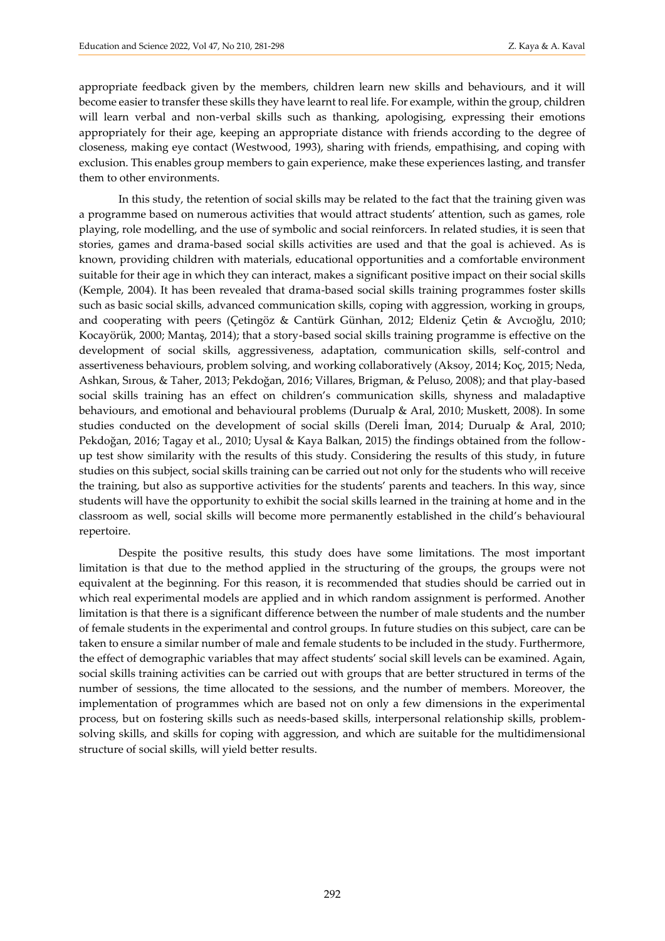appropriate feedback given by the members, children learn new skills and behaviours, and it will become easier to transfer these skills they have learnt to real life. For example, within the group, children will learn verbal and non-verbal skills such as thanking, apologising, expressing their emotions appropriately for their age, keeping an appropriate distance with friends according to the degree of closeness, making eye contact (Westwood, 1993), sharing with friends, empathising, and coping with exclusion. This enables group members to gain experience, make these experiences lasting, and transfer them to other environments.

In this study, the retention of social skills may be related to the fact that the training given was a programme based on numerous activities that would attract students' attention, such as games, role playing, role modelling, and the use of symbolic and social reinforcers. In related studies, it is seen that stories, games and drama-based social skills activities are used and that the goal is achieved. As is known, providing children with materials, educational opportunities and a comfortable environment suitable for their age in which they can interact, makes a significant positive impact on their social skills (Kemple, 2004). It has been revealed that drama-based social skills training programmes foster skills such as basic social skills, advanced communication skills, coping with aggression, working in groups, and cooperating with peers (Çetingöz & Cantürk Günhan, 2012; Eldeniz Çetin & Avcıoğlu, 2010; Kocayörük, 2000; Mantaş, 2014); that a story-based social skills training programme is effective on the development of social skills, aggressiveness, adaptation, communication skills, self-control and assertiveness behaviours, problem solving, and working collaboratively (Aksoy, 2014; Koç, 2015; Neda, Ashkan, Sırous, & Taher, 2013; Pekdoğan, 2016; Villares, Brigman, & Peluso, 2008); and that play-based social skills training has an effect on children's communication skills, shyness and maladaptive behaviours, and emotional and behavioural problems (Durualp & Aral, 2010; Muskett, 2008). In some studies conducted on the development of social skills (Dereli İman, 2014; Durualp & Aral, 2010; Pekdoğan, 2016; Tagay et al., 2010; Uysal & Kaya Balkan, 2015) the findings obtained from the followup test show similarity with the results of this study. Considering the results of this study, in future studies on this subject, social skills training can be carried out not only for the students who will receive the training, but also as supportive activities for the students' parents and teachers. In this way, since students will have the opportunity to exhibit the social skills learned in the training at home and in the classroom as well, social skills will become more permanently established in the child's behavioural repertoire.

Despite the positive results, this study does have some limitations. The most important limitation is that due to the method applied in the structuring of the groups, the groups were not equivalent at the beginning. For this reason, it is recommended that studies should be carried out in which real experimental models are applied and in which random assignment is performed. Another limitation is that there is a significant difference between the number of male students and the number of female students in the experimental and control groups. In future studies on this subject, care can be taken to ensure a similar number of male and female students to be included in the study. Furthermore, the effect of demographic variables that may affect students' social skill levels can be examined. Again, social skills training activities can be carried out with groups that are better structured in terms of the number of sessions, the time allocated to the sessions, and the number of members. Moreover, the implementation of programmes which are based not on only a few dimensions in the experimental process, but on fostering skills such as needs-based skills, interpersonal relationship skills, problemsolving skills, and skills for coping with aggression, and which are suitable for the multidimensional structure of social skills, will yield better results.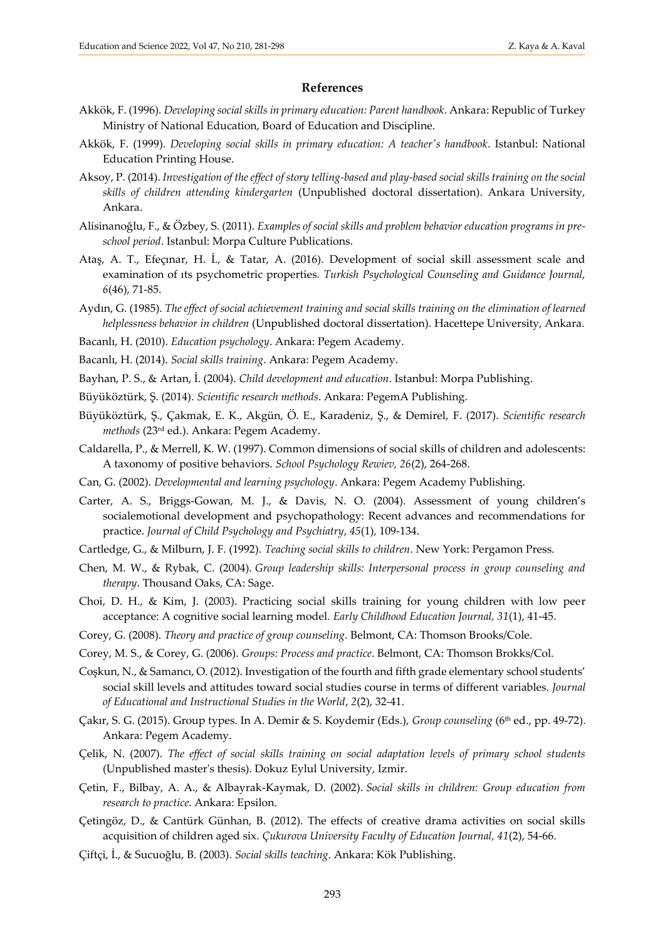#### **References**

- Akkök, F. (1996). *Developing social skills in primary education: Parent handbook*. Ankara: Republic of Turkey Ministry of National Education, Board of Education and Discipline.
- Akkök, F. (1999). *Developing social skills in primary education: A teacher's handbook*. Istanbul: National Education Printing House.
- Aksoy, P. (2014). *Investigation of the effect of story telling-based and play-based social skills training on the social skills of children attending kindergarten* (Unpublished doctoral dissertation). Ankara University, Ankara.
- Alisinanoğlu, F., & Özbey, S. (2011). *Examples of social skills and problem behavior education programs in preschool period*. Istanbul: Morpa Culture Publications.
- Ataş, A. T., Efeçınar, H. İ., & Tatar, A. (2016). Development of social skill assessment scale and examination of ıts psychometric properties*. Turkish Psychological Counseling and Guidance Journal, 6*(46), 71-85.
- Aydın, G. (1985). *The effect of social achievement training and social skills training on the elimination of learned helplessness behavior in children* (Unpublished doctoral dissertation). Hacettepe University, Ankara.
- Bacanlı, H. (2010). *Education psychology*. Ankara: Pegem Academy.
- Bacanlı, H. (2014). *Social skills training*. Ankara: Pegem Academy.
- Bayhan, P. S., & Artan, İ. (2004). *Child development and education*. Istanbul: Morpa Publishing.
- Büyüköztürk, Ş. (2014). *Scientific research methods*. Ankara: PegemA Publishing.
- Büyüköztürk, Ş., Çakmak, E. K., Akgün, Ö. E., Karadeniz, Ş., & Demirel, F. (2017). *Scientific research methods* (23rd ed.). Ankara: Pegem Academy.
- Caldarella, P., & Merrell, K. W. (1997). Common dimensions of social skills of children and adolescents: A taxonomy of positive behaviors. *School Psychology Rewiev, 26*(2), 264-268.
- Can, G. (2002). *Developmental and learning psychology*. Ankara: Pegem Academy Publishing.
- Carter, A. S., Briggs-Gowan, M. J., & Davis, N. O. (2004). Assessment of young children's socialemotional development and psychopathology: Recent advances and recommendations for practice. *Journal of Child Psychology and Psychiatry*, *45*(1), 109-134.
- Cartledge, G., & Milburn, J. F. (1992). *Teaching social skills to children*. New York: Pergamon Press.
- Chen, M. W., & Rybak, C. (2004). *Group leadership skills: Interpersonal process in group counseling and therapy*. Thousand Oaks, CA: Sage.
- Choi, D. H., & Kim, J. (2003). Practicing social skills training for young children with low peer acceptance: A cognitive social learning model*. Early Childhood Education Journal, 31*(1), 41-45.
- Corey, G. (2008). *Theory and practice of group counseling.* Belmont, CA: Thomson Brooks/Cole.
- Corey, M. S., & Corey, G. (2006). *Groups: Process and practice*. Belmont, CA: Thomson Brokks/Col.
- Coşkun, N., & Samancı, O. (2012). Investigation of the fourth and fifth grade elementary school students' social skill levels and attitudes toward social studies course in terms of different variables. *Journal of Educational and Instructional Studies in the World*, *2*(2), 32-41.
- Çakır, S. G. (2015). Group types. In A. Demir & S. Koydemir (Eds.), *Group counseling* (6th ed., pp. 49-72). Ankara: Pegem Academy.
- Çelik, N. (2007). *The effect of social skills training on social adaptation levels of primary school students* (Unpublished master's thesis). Dokuz Eylul University, Izmir.
- Çetin, F., Bilbay, A. A., & Albayrak-Kaymak, D. (2002). *Social skills in children: Group education from research to practice*. Ankara: Epsilon.
- Çetingöz, D., & Cantürk Günhan, B. (2012). The effects of creative drama activities on social skills acquisition of children aged six. *Çukurova University Faculty of Education Journal, 41*(2), 54-66.
- Çiftçi, İ., & Sucuoğlu, B. (2003). *Social skills teaching*. Ankara: Kök Publishing.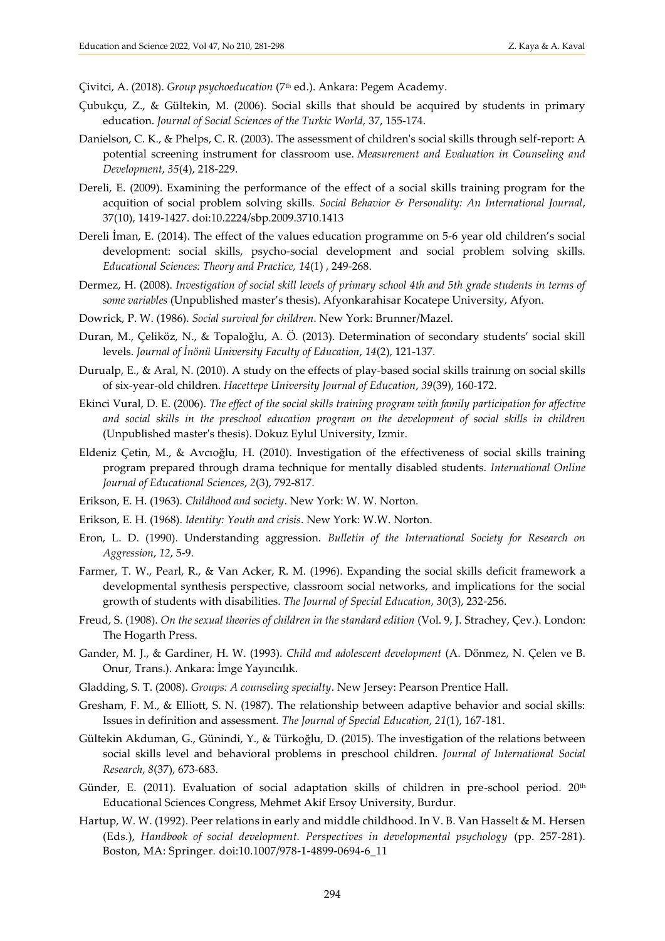Çivitci, A. (2018). *Group psychoeducation* (7th ed.). Ankara: Pegem Academy.

- Çubukçu, Z., & Gültekin, M. (2006). Social skills that should be acquired by students in primary education. *Journal of Social Sciences of the Turkic World,* 37, 155-174.
- Danielson, C. K., & Phelps, C. R. (2003). The assessment of children's social skills through self-report: A potential screening instrument for classroom use. *Measurement and Evaluation in Counseling and Development*, *35*(4), 218-229.
- Dereli, E. (2009). Examining the performance of the effect of a social skills training program for the acquition of social problem solving skills. *Social Behavior & Personality: An International Journal*, 37(10), 1419-1427. doi:10.2224/sbp.2009.3710.1413
- Dereli İman, E. (2014). The effect of the values education programme on 5-6 year old children's social development: social skills, psycho-social development and social problem solving skills. *Educational Sciences: Theory and Practice, 14*(1) , 249-268.
- Dermez, H. (2008). *Investigation of social skill levels of primary school 4th and 5th grade students in terms of some variables* (Unpublished master's thesis). Afyonkarahisar Kocatepe University, Afyon.
- Dowrick, P. W. (1986). *Social survival for children*. New York: Brunner/Mazel.
- Duran, M., Çeliköz, N., & Topaloğlu, A. Ö. (2013). Determination of secondary students' social skill levels. *Journal of İnönü University Faculty of Education*, *14*(2), 121-137.
- Durualp, E., & Aral, N. (2010). A study on the effects of play-based social skills trainıng on social skills of six-year-old children. *Hacettepe University Journal of Education*, *39*(39), 160-172.
- Ekinci Vural, D. E. (2006). *The effect of the social skills training program with family participation for affective and social skills in the preschool education program on the development of social skills in children* (Unpublished master's thesis). Dokuz Eylul University, Izmir.
- Eldeniz Çetin, M., & Avcıoğlu, H. (2010). Investigation of the effectiveness of social skills training program prepared through drama technique for mentally disabled students. *International Online Journal of Educational Sciences*, *2*(3), 792-817.
- Erikson, E. H. (1963). *Childhood and society*. New York: W. W. Norton.
- Erikson, E. H. (1968). *Identity: Youth and crisis*. New York: W.W. Norton.
- Eron, L. D. (1990). Understanding aggression. *Bulletin of the International Society for Research on Aggression*, *12*, 5-9.
- Farmer, T. W., Pearl, R., & Van Acker, R. M. (1996). Expanding the social skills deficit framework a developmental synthesis perspective, classroom social networks, and implications for the social growth of students with disabilities. *The Journal of Special Education*, *30*(3), 232-256.
- Freud, S. (1908). *On the sexual theories of children in the standard edition* (Vol. 9, J. Strachey, Çev.). London: The Hogarth Press.
- Gander, M. J., & Gardiner, H. W. (1993). *Child and adolescent development* (A. Dönmez, N. Çelen ve B. Onur, Trans.). Ankara: İmge Yayıncılık.
- Gladding, S. T. (2008). *Groups: A counseling specialty*. New Jersey: Pearson Prentice Hall.
- Gresham, F. M., & Elliott, S. N. (1987). The relationship between adaptive behavior and social skills: Issues in definition and assessment. *The Journal of Special Education*, *21*(1), 167-181.
- Gültekin Akduman, G., Günindi, Y., & Türkoğlu, D. (2015). The investigation of the relations between social skills level and behavioral problems in preschool children. *Journal of International Social Research*, *8*(37), 673-683.
- Günder, E. (2011). Evaluation of social adaptation skills of children in pre-school period. 20<sup>th</sup> Educational Sciences Congress, Mehmet Akif Ersoy University, Burdur.
- Hartup, W. W. (1992). Peer relations in early and middle childhood. In V. B. Van Hasselt & M. Hersen (Eds.), *Handbook of social development. Perspectives in developmental psychology* (pp. 257-281). Boston, MA: Springer. [doi:10.1007/978-1-4899-0694-6\\_11](https://doi.org/10.1007/978-1-4899-0694-6_11)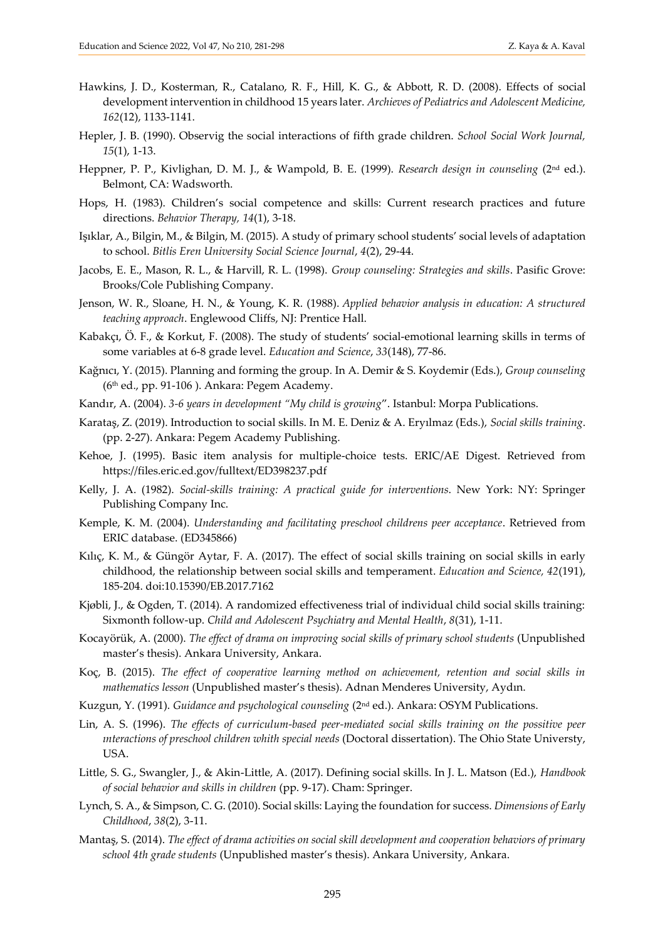- Hawkins, J. D., Kosterman, R., Catalano, R. F., Hill, K. G., & Abbott, R. D. (2008). Effects of social development intervention in childhood 15 years later. *Archieves of Pediatrics and Adolescent Medicine, 162*(12), 1133-1141.
- Hepler, J. B. (1990). Observig the social interactions of fifth grade children. *School Social Work Journal, 15*(1), 1-13.
- Heppner, P. P., Kivlighan, D. M. J., & Wampold, B. E. (1999). *Research design in counseling* (2nd ed.). Belmont, CA: Wadsworth.
- Hops, H. (1983). Children's social competence and skills: Current research practices and future directions. *Behavior Therapy, 14*(1), 3-18.
- Işıklar, A., Bilgin, M., & Bilgin, M. (2015). A study of primary school students' social levels of adaptation to school. *Bitlis Eren University Social Science Journal*, *4*(2), 29-44.
- Jacobs, E. E., Mason, R. L., & Harvill, R. L. (1998). *Group counseling: Strategies and skills*. Pasific Grove: Brooks/Cole Publishing Company.
- Jenson, W. R., Sloane, H. N., & Young, K. R. (1988). *Applied behavior analysis in education: A structured teaching approach*. Englewood Cliffs, NJ: Prentice Hall.
- Kabakçı, Ö. F., & Korkut, F. (2008). The study of students' social-emotional learning skills in terms of some variables at 6‐8 grade level. *Education and Science*, *33*(148), 77-86.
- Kağnıcı, Y. (2015). Planning and forming the group*.* In A. Demir & S. Koydemir (Eds.), *Group counseling* (6th ed., pp. 91-106 ). Ankara: Pegem Academy.
- Kandır, A. (2004). *3-6 years in development "My child is growing*". Istanbul: Morpa Publications.
- Karataş, Z. (2019). Introduction to social skills. In M. E. Deniz & A. Eryılmaz (Eds.), *Social skills training*. (pp. 2-27). Ankara: Pegem Academy Publishing.
- Kehoe, J. (1995). Basic item analysis for multiple-choice tests. ERIC/AE Digest. Retrieved from <https://files.eric.ed.gov/fulltext/ED398237.pdf>
- Kelly, J. A. (1982). *Social-skills training: A practical guide for interventions*. New York: NY: Springer Publishing Company Inc.
- Kemple, K. M. (2004). *Understanding and facilitating preschool childrens peer acceptance*. Retrieved from ERIC database. (ED345866)
- Kılıç, K. M., & Güngör Aytar, F. A. (2017). The effect of social skills training on social skills in early childhood, the relationship between social skills and temperament. *Education and Science, 42*(191), 185-204. doi:10.15390/EB.2017.7162
- Kjøbli, J., & Ogden, T. (2014). A randomized effectiveness trial of individual child social skills training: Sixmonth follow-up. *Child and Adolescent Psychiatry and Mental Health*, *8*(31), 1-11.
- Kocayörük, A. (2000). *The effect of drama on improving social skills of primary school students* (Unpublished master's thesis). Ankara University, Ankara.
- Koç, B. (2015). *The effect of cooperative learning method on achievement, retention and social skills in mathematics lesson* (Unpublished master's thesis). Adnan Menderes University, Aydın.
- Kuzgun, Y. (1991). *Guidance and psychological counseling* (2nd ed.). Ankara: OSYM Publications.
- Lin, A. S. (1996). *The effects of curriculum-based peer-mediated social skills training on the possitive peer ınteractions of preschool children whith special needs* (Doctoral dissertation). The Ohio State Universty, USA.
- Little, S. G., Swangler, J., & Akin-Little, A. (2017). Defining social skills. In J. L. Matson (Ed.), *Handbook of social behavior and skills in children* (pp. 9-17). Cham: Springer.
- Lynch, S. A., & Simpson, C. G. (2010). Social skills: Laying the foundation for success. *Dimensions of Early Childhood*, *38*(2), 3-11.
- Mantaş, S. (2014). *The effect of drama activities on social skill development and cooperation behaviors of primary school 4th grade students* (Unpublished master's thesis). Ankara University, Ankara.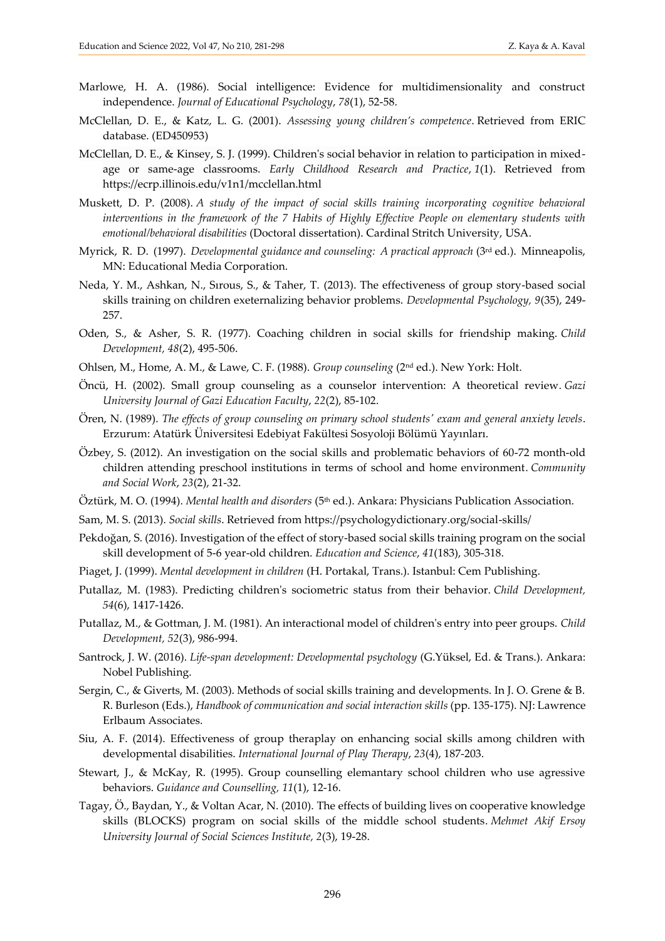- Marlowe, H. A. (1986). Social intelligence: Evidence for multidimensionality and construct independence. *Journal of Educational Psychology*, *78*(1), 52-58.
- McClellan, D. E., & Katz, L. G. (2001). *Assessing young children's competence*. Retrieved from ERIC database. (ED450953)
- McClellan, D. E., & Kinsey, S. J. (1999). Children's social behavior in relation to participation in mixedage or same-age classrooms. *Early Childhood Research and Practice*, *1*(1). Retrieved from https://ecrp.illinois.edu/v1n1/mcclellan.html
- Muskett, D. P. (2008). *A study of the impact of social skills training incorporating cognitive behavioral interventions in the framework of the 7 Habits of Highly Effective People on elementary students with emotional/behavioral disabilities* (Doctoral dissertation). Cardinal Stritch University, USA.
- Myrick, R. D. (1997). *Developmental guidance and counseling: A practical approach* (3rd ed.). Minneapolis, MN: Educational Media Corporation.
- Neda, Y. M., Ashkan, N., Sırous, S., & Taher, T. (2013). The effectiveness of group story-based social skills training on children exeternalizing behavior problems. *Developmental Psychology, 9*(35), 249- 257.
- Oden, S., & Asher, S. R. (1977). Coaching children in social skills for friendship making. *Child Development, 48*(2), 495-506.
- Ohlsen, M., Home, A. M., & Lawe, C. F. (1988). *Group counseling* (2nd ed.). New York: Holt.
- Öncü, H. (2002). Small group counseling as a counselor intervention: A theoretical review. *Gazi University Journal of Gazi Education Faculty*, *22*(2), 85-102.
- Ören, N. (1989). *The effects of group counseling on primary school students' exam and general anxiety levels*. Erzurum: Atatürk Üniversitesi Edebiyat Fakültesi Sosyoloji Bölümü Yayınları.
- Özbey, S. (2012). An investigation on the social skills and problematic behaviors of 60-72 month-old children attending preschool institutions in terms of school and home environment. *Community and Social Work*, *23*(2), 21-32.
- Öztürk, M. O. (1994). *Mental health and disorders* (5th ed.). Ankara: Physicians Publication Association.
- Sam, M. S. (2013). *Social skills*. Retrieved from https://psychologydictionary.org/social-skills/
- Pekdoğan, S. (2016). Investigation of the effect of story-based social skills training program on the social skill development of 5-6 year-old children. *Education and Science*, *41*(183), 305-318.
- Piaget, J. (1999). *Mental development in children* (H. Portakal, Trans.). Istanbul: Cem Publishing.
- Putallaz, M. (1983). Predicting children's sociometric status from their behavior. *Child Development, 54*(6), 1417-1426.
- Putallaz, M., & Gottman, J. M. (1981). An interactional model of children's entry into peer groups. *Child Development, 52*(3), 986-994.
- Santrock, J. W. (2016). *Life-span development: Developmental psychology* (G.Yüksel, Ed. & Trans.). Ankara: Nobel Publishing.
- Sergin, C., & Giverts, M. (2003). Methods of social skills training and developments. In J. O. Grene & B. R. Burleson (Eds.), *Handbook of communication and social interaction skills* (pp. 135-175). NJ: Lawrence Erlbaum Associates.
- Siu, A. F. (2014). Effectiveness of group theraplay on enhancing social skills among children with developmental disabilities. *International Journal of Play Therapy*, *23*(4), 187-203.
- Stewart, J., & McKay, R. (1995). Group counselling elemantary school children who use agressive behaviors. *Guidance and Counselling, 11*(1), 12-16.
- Tagay, Ö., Baydan, Y., & Voltan Acar, N. (2010). The effects of building lives on cooperative knowledge skills (BLOCKS) program on social skills of the middle school students. *Mehmet Akif Ersoy University Journal of Social Sciences Institute, 2*(3), 19-28.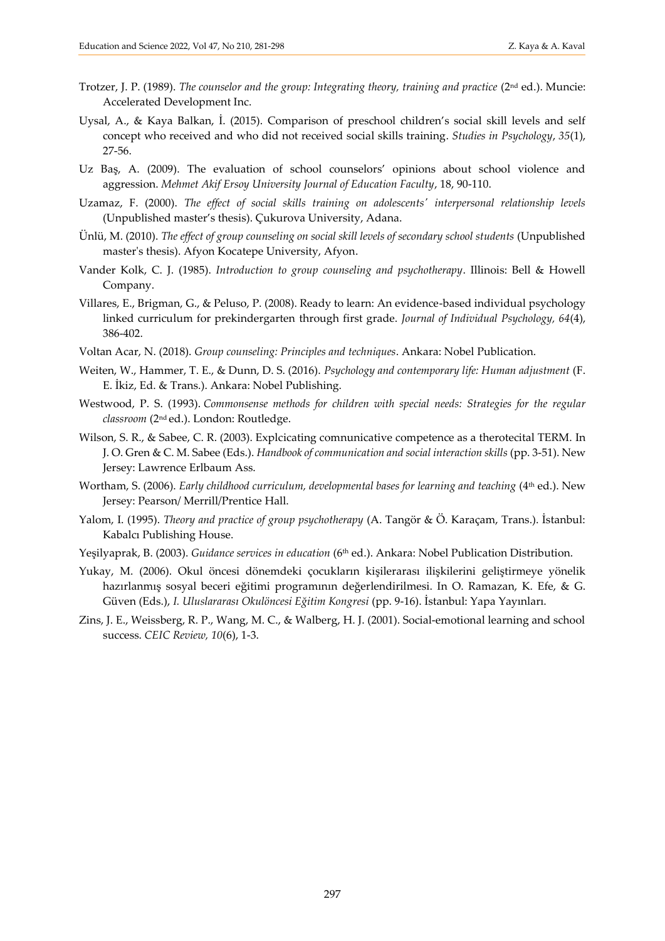- Trotzer, J. P. (1989). *The counselor and the group: Integrating theory, training and practice* (2nd ed.). Muncie: Accelerated Development Inc.
- Uysal, A., & Kaya Balkan, İ. (2015). Comparison of preschool children's social skill levels and self concept who received and who did not received social skills training. *Studies in Psychology*, *35*(1), 27-56.
- Uz Baş, A. (2009). The evaluation of school counselors' opinions about school violence and aggression. *Mehmet Akif Ersoy University Journal of Education Faculty*, 18, 90-110.
- Uzamaz, F. (2000). *The effect of social skills training on adolescents' interpersonal relationship levels* (Unpublished master's thesis). Çukurova University, Adana.
- Ünlü, M. (2010). *The effect of group counseling on social skill levels of secondary school students* (Unpublished master's thesis). Afyon Kocatepe University, Afyon.
- Vander Kolk, C. J. (1985). *Introduction to group counseling and psychotherapy*. Illinois: Bell & Howell Company.
- Villares, E., Brigman, G., & Peluso, P. (2008). Ready to learn: An evidence-based individual psychology linked curriculum for prekindergarten through first grade. *Journal of Individual Psychology, 64*(4), 386-402.
- Voltan Acar, N. (2018). *Group counseling: Principles and techniques*. Ankara: Nobel Publication.
- Weiten, W., Hammer, T. E., & Dunn, D. S. (2016). *Psychology and contemporary life: Human adjustment* (F. E. İkiz, Ed. & Trans.). Ankara: Nobel Publishing.
- Westwood, P. S. (1993). *Commonsense methods for children with special needs: Strategies for the regular classroom* (2 nd ed.). London: Routledge.
- Wilson, S. R., & Sabee, C. R. (2003). Explcicating comnunicative competence as a therotecital TERM. In J. O. Gren & C. M. Sabee (Eds.). *Handbook of communication and social interaction skills* (pp. 3-51). New Jersey: Lawrence Erlbaum Ass.
- Wortham, S. (2006). *Early childhood curriculum, developmental bases for learning and teaching* (4<sup>th</sup> ed.). New Jersey: Pearson/ Merrill/Prentice Hall.
- Yalom, I. (1995). *Theory and practice of group psychotherapy* (A. Tangör & Ö. Karaçam, Trans.). İstanbul: Kabalcı Publishing House.
- Yeşilyaprak, B. (2003). *Guidance services in education* (6th ed.). Ankara: Nobel Publication Distribution.
- Yukay, M. (2006). Okul öncesi dönemdeki çocukların kişilerarası ilişkilerini geliştirmeye yönelik hazırlanmış sosyal beceri eğitimi programının değerlendirilmesi. In O. Ramazan, K. Efe, & G. Güven (Eds.), *I. Uluslararası Okulöncesi Eğitim Kongresi* (pp. 9-16). İstanbul: Yapa Yayınları.
- Zins, J. E., Weissberg, R. P., Wang, M. C., & Walberg, H. J. (2001). Social-emotional learning and school success. *CEIC Review, 10*(6), 1‐3.